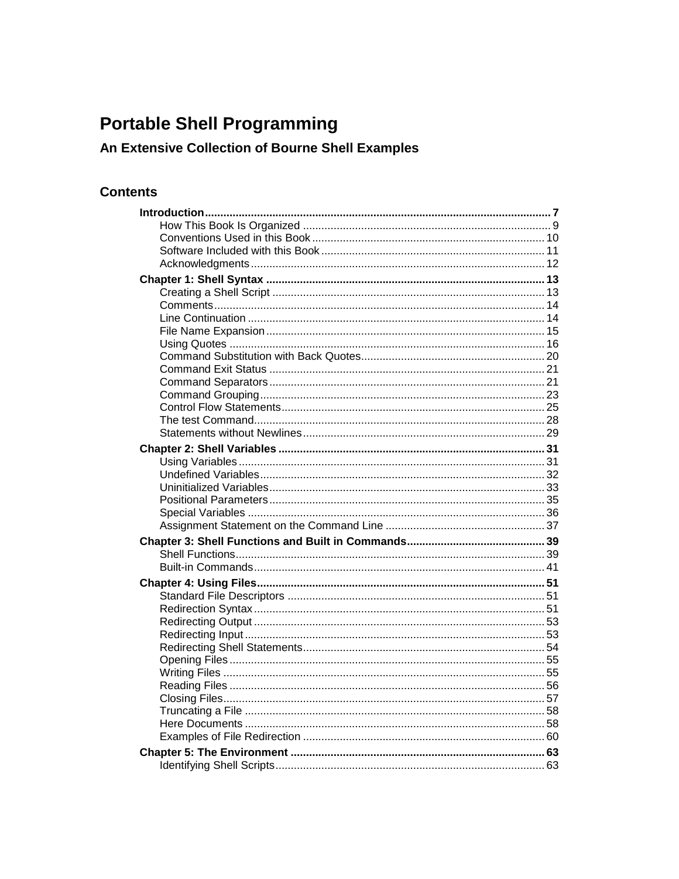## **Portable Shell Programming**

## An Extensive Collection of Bourne Shell Examples

## **Contents**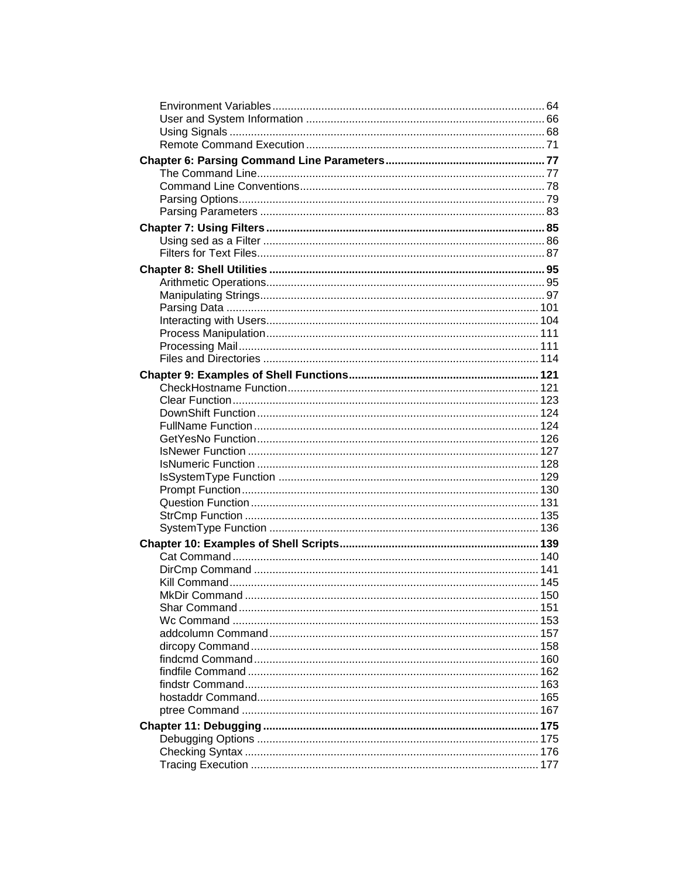| MkDir Command <b>MkDir</b><br>150 |  |
|-----------------------------------|--|
|                                   |  |
|                                   |  |
|                                   |  |
|                                   |  |
|                                   |  |
|                                   |  |
|                                   |  |
|                                   |  |
|                                   |  |
|                                   |  |
|                                   |  |
|                                   |  |
|                                   |  |
|                                   |  |